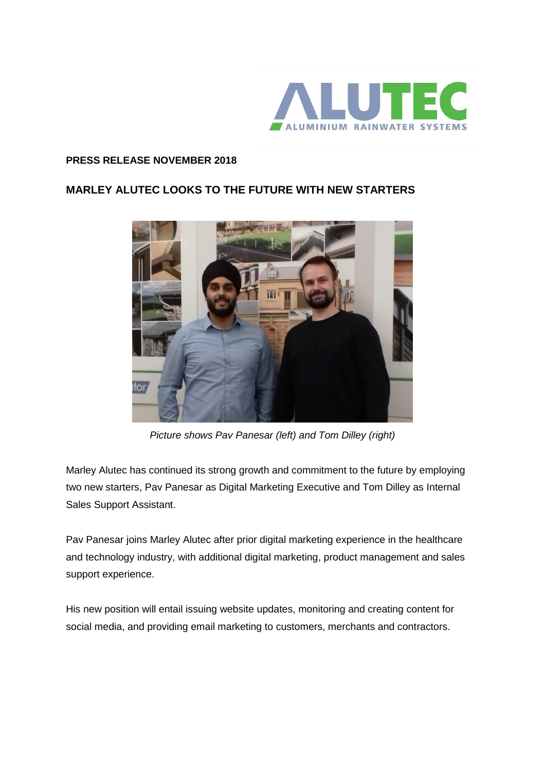

## **PRESS RELEASE NOVEMBER 2018**

## **MARLEY ALUTEC LOOKS TO THE FUTURE WITH NEW STARTERS**



*Picture shows Pav Panesar (left) and Tom Dilley (right)*

Marley Alutec has continued its strong growth and commitment to the future by employing two new starters, Pav Panesar as Digital Marketing Executive and Tom Dilley as Internal Sales Support Assistant.

Pav Panesar joins Marley Alutec after prior digital marketing experience in the healthcare and technology industry, with additional digital marketing, product management and sales support experience.

His new position will entail issuing website updates, monitoring and creating content for social media, and providing email marketing to customers, merchants and contractors.